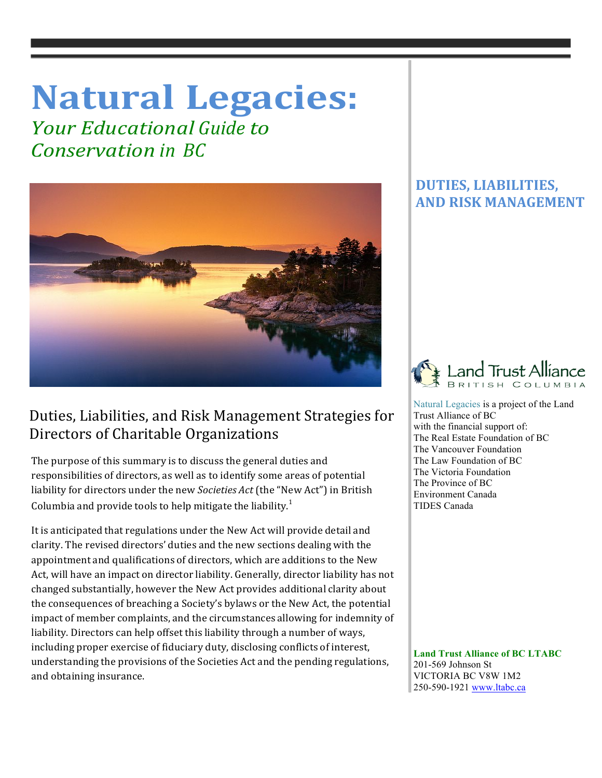# **Natural Legacies:**

*<u>Your Educational Guide to</u> Conservation in BC*



## Duties, Liabilities, and Risk Management Strategies for Directors of Charitable Organizations

The purpose of this summary is to discuss the general duties and responsibilities of directors, as well as to identify some areas of potential liability for directors under the new *Societies Act* (the "New Act") in British Columbia and provide tools to help mitigate the liability.<sup>1</sup>

It is anticipated that regulations under the New Act will provide detail and clarity. The revised directors' duties and the new sections dealing with the appointment and qualifications of directors, which are additions to the New Act, will have an impact on director liability. Generally, director liability has not changed substantially, however the New Act provides additional clarity about the consequences of breaching a Society's bylaws or the New Act, the potential impact of member complaints, and the circumstances allowing for indemnity of liability. Directors can help offset this liability through a number of ways, including proper exercise of fiduciary duty, disclosing conflicts of interest, understanding the provisions of the Societies Act and the pending regulations, and obtaining insurance.

### **DUTIES, LIABILITIES, AND RISK MANAGEMENT**



 Natural Legacies is a project of the Land Trust Alliance of BC with the financial support of: The Real Estate Foundation of BC The Vancouver Foundation The Law Foundation of BC The Victoria Foundation The Province of BC Environment Canada TIDES Canada

 **Land Trust Alliance of BC LTABC** 201-569 Johnson St VICTORIA BC V8W 1M2 250-590-1921 www.ltabc.ca